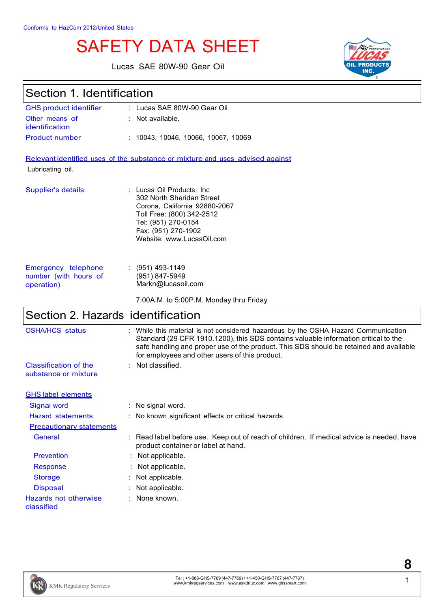# SAFETY DATA SHEET

Lucas SAE 80W-90 Gear Oil



## Section 1. Identification

| <b>GHS product identifier</b> | : Lucas SAE 80W-90 Gear Oil         |
|-------------------------------|-------------------------------------|
| Other means of                | $\therefore$ Not available.         |
| identification                |                                     |
| <b>Product number</b>         | : 10043, 10046, 10066, 10067, 10069 |

Relevant identified uses of the substance or mixture and uses advised against

Lubricating oil.

| Supplier's details | : Lucas Oil Products, Inc.<br>302 North Sheridan Street<br>Corona, California 92880-2067<br>Toll Free: (800) 342-2512<br>Tel: (951) 270-0154<br>Fax: (951) 270-1902<br>Website: www.LucasOil.com |
|--------------------|--------------------------------------------------------------------------------------------------------------------------------------------------------------------------------------------------|
|                    |                                                                                                                                                                                                  |

| Emergency telephone   | $\therefore$ (951) 493-1149 |
|-----------------------|-----------------------------|
| number (with hours of | (951) 847-5949              |
| operation)            | Markn@lucasoil.com          |

7:00A.M. to 5:00P.M. Monday thru Friday

# Section 2. Hazards identification

| <b>OSHA/HCS status</b>                        | : While this material is not considered hazardous by the OSHA Hazard Communication<br>Standard (29 CFR 1910.1200), this SDS contains valuable information critical to the<br>safe handling and proper use of the product. This SDS should be retained and available<br>for employees and other users of this product. |
|-----------------------------------------------|-----------------------------------------------------------------------------------------------------------------------------------------------------------------------------------------------------------------------------------------------------------------------------------------------------------------------|
| Classification of the<br>substance or mixture | $:$ Not classified.                                                                                                                                                                                                                                                                                                   |
| <b>GHS label elements</b>                     |                                                                                                                                                                                                                                                                                                                       |
| Signal word                                   | : No signal word.                                                                                                                                                                                                                                                                                                     |
| <b>Hazard statements</b>                      | : No known significant effects or critical hazards.                                                                                                                                                                                                                                                                   |
| <b>Precautionary statements</b>               |                                                                                                                                                                                                                                                                                                                       |
| General                                       | : Read label before use. Keep out of reach of children. If medical advice is needed, have<br>product container or label at hand.                                                                                                                                                                                      |
| <b>Prevention</b>                             | : Not applicable.                                                                                                                                                                                                                                                                                                     |
| <b>Response</b>                               | : Not applicable.                                                                                                                                                                                                                                                                                                     |
| <b>Storage</b>                                | $:$ Not applicable.                                                                                                                                                                                                                                                                                                   |
| <b>Disposal</b>                               | : Not applicable.                                                                                                                                                                                                                                                                                                     |
| Hazards not otherwise<br>classified           | $:$ None known.                                                                                                                                                                                                                                                                                                       |

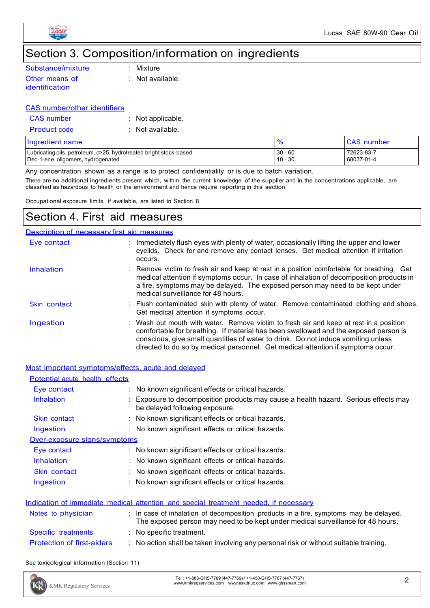

# Section 3. Composition/information on ingredients

| Substance/mixture | $\therefore$ Mixture        |
|-------------------|-----------------------------|
| Other means of    | $\therefore$ Not available. |
| identification    |                             |

#### CAS number/other identifiers

| <b>CAS</b> number   | : Not applicable.           |
|---------------------|-----------------------------|
| <b>Product code</b> | $\therefore$ Not available. |

| Ingredient name                                                    |           | <b>CAS</b> number |
|--------------------------------------------------------------------|-----------|-------------------|
| Lubricating oils, petroleum, c>25, hydrotreated bright stock-based | $30 - 60$ | 72623-83-7        |
| Dec-1-ene, oligomers, hydrogenated                                 | $10 - 30$ | 68037-01-4        |

Any concentration shown as a range is to protect confidentiality or is due to batch variation. There are no additional ingredients present which, within the current knowledge of the supplier and in the concentrations applicable, are

classified as hazardous to health or the environment and hence require reporting in this section.

Occupational exposure limits, if available, are listed in Section 8.

### Section 4. First aid measures

#### Description of necessary first aid measures

| Eye contact  | : Immediately flush eyes with plenty of water, occasionally lifting the upper and lower<br>eyelids. Check for and remove any contact lenses. Get medical attention if irritation<br>occurs.                                                                                                                                                            |
|--------------|--------------------------------------------------------------------------------------------------------------------------------------------------------------------------------------------------------------------------------------------------------------------------------------------------------------------------------------------------------|
| Inhalation   | : Remove victim to fresh air and keep at rest in a position comfortable for breathing. Get<br>medical attention if symptoms occur. In case of inhalation of decomposition products in<br>a fire, symptoms may be delayed. The exposed person may need to be kept under<br>medical surveillance for 48 hours.                                           |
| Skin contact | : Flush contaminated skin with plenty of water. Remove contaminated clothing and shoes.<br>Get medical attention if symptoms occur.                                                                                                                                                                                                                    |
| Ingestion    | : Wash out mouth with water. Remove victim to fresh air and keep at rest in a position<br>comfortable for breathing. If material has been swallowed and the exposed person is<br>conscious, give small quantities of water to drink. Do not induce vomiting unless<br>directed to do so by medical personnel. Get medical attention if symptoms occur. |

| Most important symptoms/effects, acute and delayed |                                                                                                                                                                                     |
|----------------------------------------------------|-------------------------------------------------------------------------------------------------------------------------------------------------------------------------------------|
| Potential acute health effects                     |                                                                                                                                                                                     |
| Eye contact                                        | No known significant effects or critical hazards.                                                                                                                                   |
| Inhalation                                         | Exposure to decomposition products may cause a health hazard. Serious effects may<br>be delayed following exposure.                                                                 |
| Skin contact                                       | No known significant effects or critical hazards.                                                                                                                                   |
| Ingestion                                          | : No known significant effects or critical hazards.                                                                                                                                 |
| Over-exposure signs/symptoms                       |                                                                                                                                                                                     |
| Eye contact                                        | $\therefore$ No known significant effects or critical hazards.                                                                                                                      |
| <b>Inhalation</b>                                  | No known significant effects or critical hazards.                                                                                                                                   |
| Skin contact                                       | : No known significant effects or critical hazards.                                                                                                                                 |
| Ingestion                                          | No known significant effects or critical hazards.                                                                                                                                   |
|                                                    |                                                                                                                                                                                     |
|                                                    | Indication of immediate medical attention and special treatment needed, if necessary                                                                                                |
| Notes to physician                                 | $\therefore$ In case of inhalation of decomposition products in a fire, symptoms may be delayed.<br>The exposed person may need to be kept under medical surveillance for 48 hours. |
| Specific treatments                                | : No specific treatment.                                                                                                                                                            |
| <b>Protection of first-aiders</b>                  | No action shall be taken involving any personal risk or without suitable training.                                                                                                  |

See toxicological information (Section 11)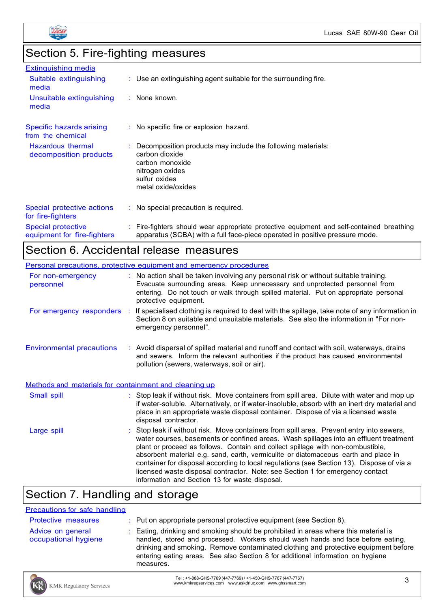

# Section 5. Fire-fighting measures

| <b>Extinguishing media</b>                               |                                                                                                                                                                          |
|----------------------------------------------------------|--------------------------------------------------------------------------------------------------------------------------------------------------------------------------|
| Suitable extinguishing<br>media                          | $\therefore$ Use an extinguishing agent suitable for the surrounding fire.                                                                                               |
| Unsuitable extinguishing<br>media                        | : None known.                                                                                                                                                            |
| Specific hazards arising<br>from the chemical            | : No specific fire or explosion hazard.                                                                                                                                  |
| Hazardous thermal<br>decomposition products              | $\therefore$ Decomposition products may include the following materials:<br>carbon dioxide<br>carbon monoxide<br>nitrogen oxides<br>sulfur oxides<br>metal oxide/oxides  |
| Special protective actions<br>for fire-fighters          | $\therefore$ No special precaution is required.                                                                                                                          |
| <b>Special protective</b><br>equipment for fire-fighters | : Fire-fighters should wear appropriate protective equipment and self-contained breathing<br>apparatus (SCBA) with a full face-piece operated in positive pressure mode. |

## Section 6. Accidental release measures

|                                                       | Personal precautions, protective equipment and emergency procedures                                                                                                                                                                                                                                                                                                                                                                                                                                                                                                                        |  |
|-------------------------------------------------------|--------------------------------------------------------------------------------------------------------------------------------------------------------------------------------------------------------------------------------------------------------------------------------------------------------------------------------------------------------------------------------------------------------------------------------------------------------------------------------------------------------------------------------------------------------------------------------------------|--|
| For non-emergency<br>personnel                        | : No action shall be taken involving any personal risk or without suitable training.<br>Evacuate surrounding areas. Keep unnecessary and unprotected personnel from<br>entering. Do not touch or walk through spilled material. Put on appropriate personal<br>protective equipment.                                                                                                                                                                                                                                                                                                       |  |
|                                                       | For emergency responders : If specialised clothing is required to deal with the spillage, take note of any information in<br>Section 8 on suitable and unsuitable materials. See also the information in "For non-<br>emergency personnel".                                                                                                                                                                                                                                                                                                                                                |  |
| <b>Environmental precautions</b>                      | : Avoid dispersal of spilled material and runoff and contact with soil, waterways, drains<br>and sewers. Inform the relevant authorities if the product has caused environmental<br>pollution (sewers, waterways, soil or air).                                                                                                                                                                                                                                                                                                                                                            |  |
| Methods and materials for containment and cleaning up |                                                                                                                                                                                                                                                                                                                                                                                                                                                                                                                                                                                            |  |
| Small spill                                           | : Stop leak if without risk. Move containers from spill area. Dilute with water and mop up<br>if water-soluble. Alternatively, or if water-insoluble, absorb with an inert dry material and<br>place in an appropriate waste disposal container. Dispose of via a licensed waste<br>disposal contractor.                                                                                                                                                                                                                                                                                   |  |
| Large spill                                           | : Stop leak if without risk. Move containers from spill area. Prevent entry into sewers,<br>water courses, basements or confined areas. Wash spillages into an effluent treatment<br>plant or proceed as follows. Contain and collect spillage with non-combustible,<br>absorbent material e.g. sand, earth, vermiculite or diatomaceous earth and place in<br>container for disposal according to local regulations (see Section 13). Dispose of via a<br>licensed waste disposal contractor. Note: see Section 1 for emergency contact<br>information and Section 13 for waste disposal. |  |

### Section 7. Handling and storage

#### Precautions for safe handling

| <b>Protective measures</b>                | $\therefore$ Put on appropriate personal protective equipment (see Section 8).                                                                                                                                                                                                                                                                                |
|-------------------------------------------|---------------------------------------------------------------------------------------------------------------------------------------------------------------------------------------------------------------------------------------------------------------------------------------------------------------------------------------------------------------|
| Advice on general<br>occupational hygiene | : Eating, drinking and smoking should be prohibited in areas where this material is<br>handled, stored and processed. Workers should wash hands and face before eating,<br>drinking and smoking. Remove contaminated clothing and protective equipment before<br>entering eating areas. See also Section 8 for additional information on hygiene<br>measures. |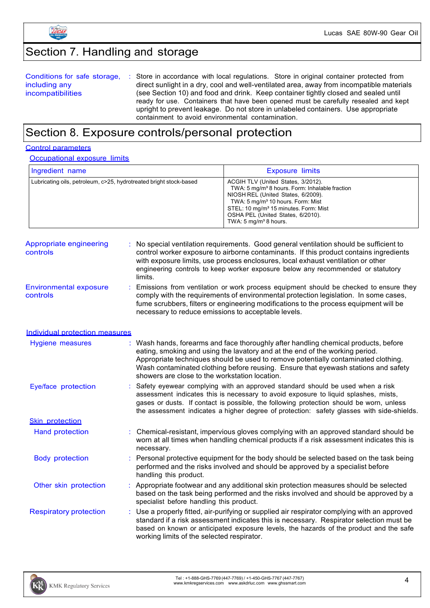

# Section 7. Handling and storage

| Conditions for safe storage,<br>including any | : Store in accordance with local regulations. Store in original container protected from<br>direct sunlight in a dry, cool and well-ventilated area, away from incompatible materials |
|-----------------------------------------------|---------------------------------------------------------------------------------------------------------------------------------------------------------------------------------------|
|                                               |                                                                                                                                                                                       |
| incompatibilities                             | (see Section 10) and food and drink. Keep container tightly closed and sealed until                                                                                                   |
|                                               | ready for use. Containers that have been opened must be carefully resealed and kept                                                                                                   |
|                                               | upright to prevent leakage. Do not store in unlabeled containers. Use appropriate                                                                                                     |
|                                               | containment to avoid environmental contamination.                                                                                                                                     |

### Section 8. Exposure controls/personal protection

#### Control parameters

**Occupational exposure limits** 

| Ingredient name                                                    | <b>Exposure limits</b>                                                                                                                                                                                                                                                                                                |
|--------------------------------------------------------------------|-----------------------------------------------------------------------------------------------------------------------------------------------------------------------------------------------------------------------------------------------------------------------------------------------------------------------|
| Lubricating oils, petroleum, c>25, hydrotreated bright stock-based | ACGIH TLV (United States, 3/2012).<br>TWA: 5 mg/m <sup>3</sup> 8 hours. Form: Inhalable fraction<br>NIOSH REL (United States, 6/2009).<br>TWA: 5 mg/m <sup>3</sup> 10 hours. Form: Mist<br>STEL: 10 mg/m <sup>3</sup> 15 minutes. Form: Mist<br>OSHA PEL (United States, 6/2010).<br>TWA: $5 \text{ mg/m}^3$ 8 hours. |

| Appropriate engineering<br>controls       | : No special ventilation requirements. Good general ventilation should be sufficient to<br>control worker exposure to airborne contaminants. If this product contains ingredients<br>with exposure limits, use process enclosures, local exhaust ventilation or other<br>engineering controls to keep worker exposure below any recommended or statutory<br>limits. |
|-------------------------------------------|---------------------------------------------------------------------------------------------------------------------------------------------------------------------------------------------------------------------------------------------------------------------------------------------------------------------------------------------------------------------|
| <b>Environmental exposure</b><br>controls | : Emissions from ventilation or work process equipment should be checked to ensure they<br>comply with the requirements of environmental protection legislation. In some cases,<br>fume scrubbers, filters or engineering modifications to the process equipment will be<br>necessary to reduce emissions to acceptable levels.                                     |

#### Individual protection measures

| Hygiene measures              | : Wash hands, forearms and face thoroughly after handling chemical products, before<br>eating, smoking and using the lavatory and at the end of the working period.<br>Appropriate techniques should be used to remove potentially contaminated clothing.<br>Wash contaminated clothing before reusing. Ensure that eyewash stations and safety<br>showers are close to the workstation location. |
|-------------------------------|---------------------------------------------------------------------------------------------------------------------------------------------------------------------------------------------------------------------------------------------------------------------------------------------------------------------------------------------------------------------------------------------------|
| Eye/face protection           | Safety eyewear complying with an approved standard should be used when a risk<br>assessment indicates this is necessary to avoid exposure to liquid splashes, mists,<br>gases or dusts. If contact is possible, the following protection should be worn, unless<br>the assessment indicates a higher degree of protection: safety glasses with side-shields.                                      |
| <b>Skin protection</b>        |                                                                                                                                                                                                                                                                                                                                                                                                   |
| Hand protection               | : Chemical-resistant, impervious gloves complying with an approved standard should be<br>worn at all times when handling chemical products if a risk assessment indicates this is<br>necessary.                                                                                                                                                                                                   |
| <b>Body protection</b>        | : Personal protective equipment for the body should be selected based on the task being<br>performed and the risks involved and should be approved by a specialist before<br>handling this product.                                                                                                                                                                                               |
| Other skin protection         | Appropriate footwear and any additional skin protection measures should be selected<br>based on the task being performed and the risks involved and should be approved by a<br>specialist before handling this product.                                                                                                                                                                           |
| <b>Respiratory protection</b> | : Use a properly fitted, air-purifying or supplied air respirator complying with an approved<br>standard if a risk assessment indicates this is necessary. Respirator selection must be<br>based on known or anticipated exposure levels, the hazards of the product and the safe<br>working limits of the selected respirator.                                                                   |

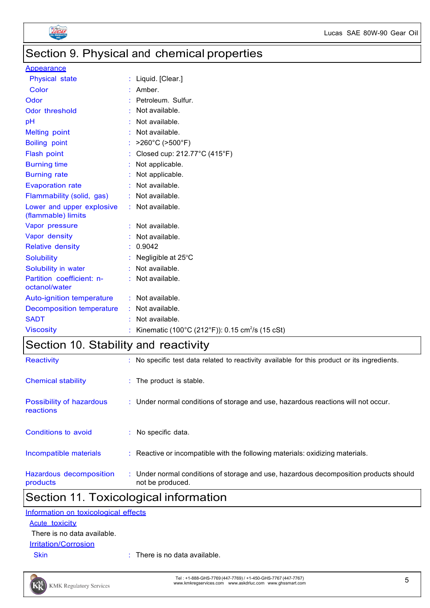

## Section 9. Physical and chemical properties

#### **Appearance**

| <b>Physical state</b>                           | Liquid. [Clear.]                                            |
|-------------------------------------------------|-------------------------------------------------------------|
| Color                                           | Amber.                                                      |
| Odor                                            | Petroleum. Sulfur.                                          |
| Odor threshold                                  | Not available.                                              |
| pH                                              | Not available.                                              |
| <b>Melting point</b>                            | Not available.                                              |
| <b>Boiling point</b>                            | >260°C (>500°F)                                             |
| Flash point                                     | Closed cup: 212.77°C (415°F)                                |
| <b>Burning time</b>                             | Not applicable.                                             |
| <b>Burning rate</b>                             | Not applicable.                                             |
| <b>Evaporation rate</b>                         | Not available.                                              |
| Flammability (solid, gas)                       | : Not available.                                            |
| Lower and upper explosive<br>(flammable) limits | : Not available.                                            |
| Vapor pressure                                  | Not available.                                              |
| Vapor density                                   | Not available.                                              |
| <b>Relative density</b>                         | 0.9042                                                      |
| <b>Solubility</b>                               | Negligible at 25°C                                          |
| Solubility in water                             | Not available.                                              |
| Partition coefficient: n-<br>octanol/water      | Not available.                                              |
| <b>Auto-ignition temperature</b>                | : Not available.                                            |
| Decomposition temperature                       | : Not available.                                            |
| <b>SADT</b>                                     | Not available.                                              |
| <b>Viscosity</b>                                | Kinematic (100°C (212°F)): 0.15 cm <sup>2</sup> /s (15 cSt) |

### Section 10. Stability and reactivity

| Reactivity                            | : No specific test data related to reactivity available for this product or its ingredients.              |
|---------------------------------------|-----------------------------------------------------------------------------------------------------------|
| Chemical stability                    | : The product is stable.                                                                                  |
| Possibility of hazardous<br>reactions | : Under normal conditions of storage and use, hazardous reactions will not occur.                         |
| Conditions to avoid                   | $:$ No specific data.                                                                                     |
| Incompatible materials                | : Reactive or incompatible with the following materials: oxidizing materials.                             |
| Hazardous decomposition<br>products   | : Under normal conditions of storage and use, hazardous decomposition products should<br>not be produced. |

## Section 11. Toxicological information

| Information on toxicological effects |  |
|--------------------------------------|--|
| Acute toxicity                       |  |
| There is no data available.          |  |

#### **Irritation/Corrosion**

Skin : There is no data available.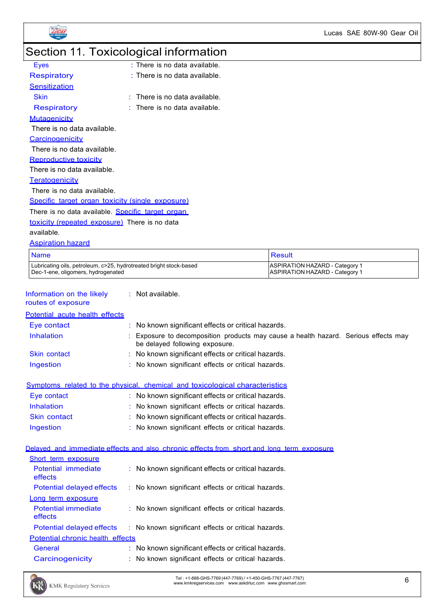

# Section 11. Toxicological information

| Eyes                                                 | : There is no data available.   |  |  |
|------------------------------------------------------|---------------------------------|--|--|
| Respiratory                                          | $:$ There is no data available. |  |  |
| <b>Sensitization</b>                                 |                                 |  |  |
| Skin                                                 | $:$ There is no data available. |  |  |
| <b>Respiratory</b>                                   | There is no data available.     |  |  |
| <b>Mutagenicity</b>                                  |                                 |  |  |
| There is no data available.                          |                                 |  |  |
| <b>Carcinogenicity</b>                               |                                 |  |  |
| There is no data available.                          |                                 |  |  |
| <b>Reproductive toxicity</b>                         |                                 |  |  |
| There is no data available.                          |                                 |  |  |
| Teratogenicity                                       |                                 |  |  |
| There is no data available.                          |                                 |  |  |
| Specific target organ toxicity (single exposure)     |                                 |  |  |
| There is no data available. Specific target organ    |                                 |  |  |
| <b>toxicity (repeated exposure)</b> There is no data |                                 |  |  |
| .                                                    |                                 |  |  |

available.

Aspiration hazard

| <b>Name</b>                                                        | Result                         |
|--------------------------------------------------------------------|--------------------------------|
| Lubricating oils, petroleum, c>25, hydrotreated bright stock-based | ASPIRATION HAZARD - Category 1 |
| Dec-1-ene, oligomers, hydrogenated                                 | ASPIRATION HAZARD - Category 1 |

| Information on the likely | Not available. |
|---------------------------|----------------|
|                           |                |

routes of exposure

| Potential acute health effects |                                                                                                                     |
|--------------------------------|---------------------------------------------------------------------------------------------------------------------|
| Eye contact                    | : No known significant effects or critical hazards.                                                                 |
| <b>Inhalation</b>              | Exposure to decomposition products may cause a health hazard. Serious effects may<br>be delayed following exposure. |
| Skin contact                   | : No known significant effects or critical hazards.                                                                 |
| Ingestion                      | : No known significant effects or critical hazards.                                                                 |

Symptoms related to the physical, chemical and toxicological characteristics

| Eye contact         | : No known significant effects or critical hazards. |
|---------------------|-----------------------------------------------------|
| Inhalation          | : No known significant effects or critical hazards. |
| <b>Skin contact</b> | : No known significant effects or critical hazards. |
| Ingestion           | : No known significant effects or critical hazards. |

#### Delayed and immediate effects and also chronic effects from short and long term exposure

| : No known significant effects or critical hazards.                              |  |
|----------------------------------------------------------------------------------|--|
| : No known significant effects or critical hazards.                              |  |
|                                                                                  |  |
| : No known significant effects or critical hazards.                              |  |
| : No known significant effects or critical hazards.<br>Potential delayed effects |  |
| Potential chronic health effects                                                 |  |
| : No known significant effects or critical hazards.                              |  |
| : No known significant effects or critical hazards.                              |  |
|                                                                                  |  |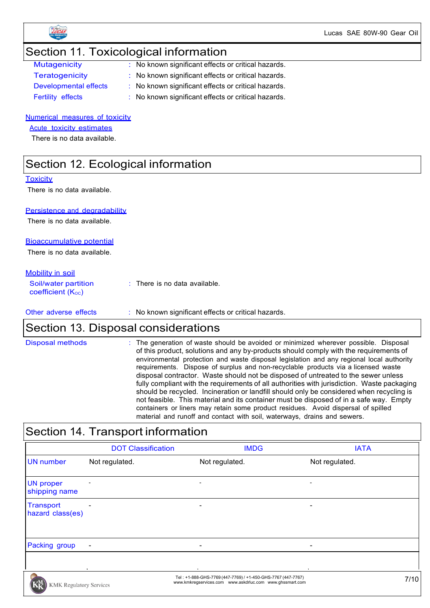

Lucas SAE 80W-90 Gear Oil

### Section 11. Toxicological information

| <b>Mutagenicity</b>          |  |
|------------------------------|--|
| <b>Teratogenicity</b>        |  |
| <b>Developmental effects</b> |  |
| Eartility offacto            |  |

- : No known significant effects or critical hazards.
- : No known significant effects or critical hazards.
- $\therefore$  No known significant effects or critical hazards.
- Fertility effects : No known significant effects or critical hazards.

#### Numerical measures of toxicity

Acute toxicity estimates

There is no data available.

### Section 12. Ecological information

#### **Toxicity**

There is no data available.

#### Persistence and degradability

There is no data available.

#### Bioaccumulative potential

There is no data available.

#### Mobility in soil

| Soil/water partition<br>coefficient $(K_{\text{oc}})$ | : There is no data available. |
|-------------------------------------------------------|-------------------------------|
|                                                       |                               |

Other adverse effects : No known significant effects or critical hazards.

### Section 13. Disposal considerations

| material and runoff and contact with soil, waterways, drains and sewers. | <b>Disposal methods</b> | : The generation of waste should be avoided or minimized wherever possible. Disposal<br>of this product, solutions and any by-products should comply with the requirements of<br>environmental protection and waste disposal legislation and any regional local authority<br>requirements. Dispose of surplus and non-recyclable products via a licensed waste<br>disposal contractor. Waste should not be disposed of untreated to the sewer unless<br>fully compliant with the requirements of all authorities with jurisdiction. Waste packaging<br>should be recycled. Incineration or landfill should only be considered when recycling is<br>not feasible. This material and its container must be disposed of in a safe way. Empty<br>containers or liners may retain some product residues. Avoid dispersal of spilled |
|--------------------------------------------------------------------------|-------------------------|--------------------------------------------------------------------------------------------------------------------------------------------------------------------------------------------------------------------------------------------------------------------------------------------------------------------------------------------------------------------------------------------------------------------------------------------------------------------------------------------------------------------------------------------------------------------------------------------------------------------------------------------------------------------------------------------------------------------------------------------------------------------------------------------------------------------------------|
|                                                                          |                         |                                                                                                                                                                                                                                                                                                                                                                                                                                                                                                                                                                                                                                                                                                                                                                                                                                |

# Section 14. Transport information

|                                      | <b>DOT Classification</b> | <b>IMDG</b>                                                                                                              | <b>IATA</b>              |
|--------------------------------------|---------------------------|--------------------------------------------------------------------------------------------------------------------------|--------------------------|
| <b>UN</b> number                     | Not regulated.            | Not regulated.                                                                                                           | Not regulated.           |
| <b>UN proper</b><br>shipping name    | $\overline{\phantom{a}}$  | $\overline{\phantom{0}}$                                                                                                 | $\overline{\phantom{a}}$ |
| <b>Transport</b><br>hazard class(es) | $\overline{\phantom{a}}$  | $\overline{\phantom{0}}$                                                                                                 |                          |
| Packing group                        | $\overline{\phantom{a}}$  |                                                                                                                          |                          |
| <b>KMK Regulatory Services</b>       |                           | Tel: +1-888-GHS-7769 (447-7769) / +1-450-GHS-7767 (447-7767)<br>www.kmkregservices.com www.askdrluc.com www.ghssmart.com | 7/10                     |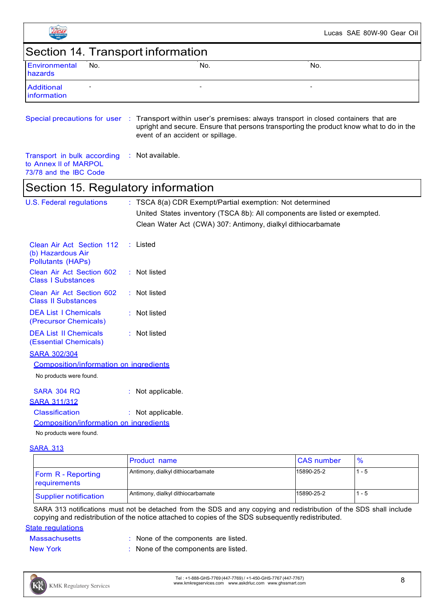|                                                                                |                                                          | Lucas SAE 80W-90 Gear Oil                                                                                                                                                     |
|--------------------------------------------------------------------------------|----------------------------------------------------------|-------------------------------------------------------------------------------------------------------------------------------------------------------------------------------|
| Section 14. Transport information                                              |                                                          |                                                                                                                                                                               |
| Environmental<br>No.<br>hazards                                                | No.                                                      | No.                                                                                                                                                                           |
| <b>Additional</b><br>information                                               |                                                          |                                                                                                                                                                               |
| Special precautions for user                                                   | event of an accident or spillage.                        | : Transport within user's premises: always transport in closed containers that are<br>upright and secure. Ensure that persons transporting the product know what to do in the |
| Transport in bulk according<br>to Annex II of MARPOL<br>73/78 and the IBC Code | Not available.                                           |                                                                                                                                                                               |
| Section 15. Regulatory information                                             |                                                          |                                                                                                                                                                               |
| <b>U.S. Federal regulations</b>                                                | : TSCA 8(a) CDR Exempt/Partial exemption: Not determined | United States inventory (TSCA 8b): All components are listed or exempted.<br>Clean Water Act (CWA) 307: Antimony, dialkyl dithiocarbamate                                     |
| Clean Air Act Section 112<br>(b) Hazardous Air<br><b>Pollutants (HAPs)</b>     | $:$ Listed                                               |                                                                                                                                                                               |
| Clean Air Act Section 602<br><b>Class I Substances</b>                         | Not listed                                               |                                                                                                                                                                               |
| Clean Air Act Section 602<br><b>Class II Substances</b>                        | : Not listed                                             |                                                                                                                                                                               |
| <b>DEA List I Chemicals</b><br>(Precursor Chemicals)                           | Not listed                                               |                                                                                                                                                                               |
| <b>DEA List II Chemicals</b><br>(Essential Chemicals)                          | Not listed                                               |                                                                                                                                                                               |
| <b>SARA 302/304</b>                                                            |                                                          |                                                                                                                                                                               |
| Composition/information on ingredients                                         |                                                          |                                                                                                                                                                               |
| No products were found.                                                        |                                                          |                                                                                                                                                                               |
| <b>SARA 304 RQ</b><br><b>SARA 311/312</b>                                      | Not applicable.                                          |                                                                                                                                                                               |
| <b>Classification</b><br>Composition/information on ingredients                | : Not applicable.                                        |                                                                                                                                                                               |
| No products were found.                                                        |                                                          |                                                                                                                                                                               |
| <b>SARA 313</b>                                                                |                                                          |                                                                                                                                                                               |

|                                           | <b>Product name</b>               | <b>CAS</b> number | $\%$  |
|-------------------------------------------|-----------------------------------|-------------------|-------|
| <b>Form R</b> - Reporting<br>requirements | Antimony, dialkyl dithiocarbamate | 15890-25-2        | 1 - 5 |
| <b>Supplier notification</b>              | Antimony, dialkyl dithiocarbamate | 15890-25-2        | 1 - 5 |

SARA 313 notifications must not be detached from the SDS and any copying and redistribution of the SDS shall include copying and redistribution of the notice attached to copies of the SDS subsequently redistributed.

#### **State requlations**

| <b>Massachusetts</b> | : None of the components are listed. |
|----------------------|--------------------------------------|
| New York             | : None of the components are listed. |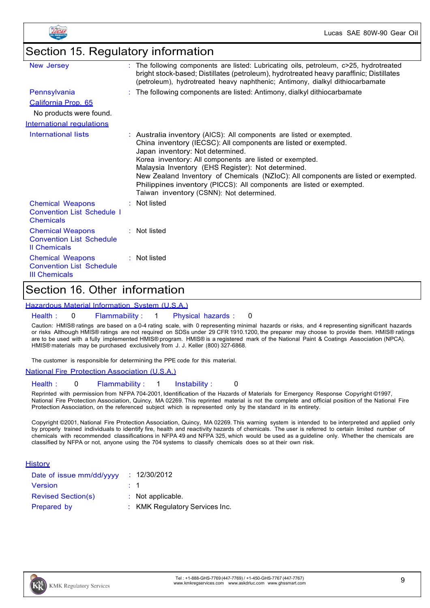

### Section 15. Regulatory information

| New Jersey                                                                         | The following components are listed: Lubricating oils, petroleum, c>25, hydrotreated<br>bright stock-based; Distillates (petroleum), hydrotreated heavy paraffinic; Distillates<br>(petroleum), hydrotreated heavy naphthenic; Antimony, dialkyl dithiocarbamate                                                                                                                                                                                                                                        |
|------------------------------------------------------------------------------------|---------------------------------------------------------------------------------------------------------------------------------------------------------------------------------------------------------------------------------------------------------------------------------------------------------------------------------------------------------------------------------------------------------------------------------------------------------------------------------------------------------|
| Pennsylvania                                                                       | : The following components are listed: Antimony, dialkyl dithiocarbamate                                                                                                                                                                                                                                                                                                                                                                                                                                |
| California Prop. 65                                                                |                                                                                                                                                                                                                                                                                                                                                                                                                                                                                                         |
| No products were found.                                                            |                                                                                                                                                                                                                                                                                                                                                                                                                                                                                                         |
| International regulations                                                          |                                                                                                                                                                                                                                                                                                                                                                                                                                                                                                         |
| International lists                                                                | : Australia inventory (AICS): All components are listed or exempted.<br>China inventory (IECSC): All components are listed or exempted.<br>Japan inventory: Not determined.<br>Korea inventory: All components are listed or exempted.<br>Malaysia Inventory (EHS Register): Not determined.<br>New Zealand Inventory of Chemicals (NZIoC): All components are listed or exempted.<br>Philippines inventory (PICCS): All components are listed or exempted.<br>Taiwan inventory (CSNN): Not determined. |
| <b>Chemical Weapons</b><br><b>Convention List Schedule I</b><br><b>Chemicals</b>   | $:$ Not listed                                                                                                                                                                                                                                                                                                                                                                                                                                                                                          |
| <b>Chemical Weapons</b><br><b>Convention List Schedule</b><br><b>Il Chemicals</b>  | : Not listed                                                                                                                                                                                                                                                                                                                                                                                                                                                                                            |
| <b>Chemical Weapons</b><br><b>Convention List Schedule</b><br><b>III Chemicals</b> | $\therefore$ Not listed                                                                                                                                                                                                                                                                                                                                                                                                                                                                                 |

### Section 16. Other information

#### Hazardous Material Information System (U.S.A.)

#### Health : 0 Flammability : 1 Physical hazards : 0

Caution: HMIS® ratings are based on a 0-4 rating scale, with 0 representing minimal hazards or risks, and 4 representing significant hazards or risks Although HMIS® ratings are not required on SDSs under 29 CFR 1910.1200, the preparer may choose to provide them. HMIS® ratings are to be used with a fully implemented HMIS® program. HMIS® is a registered mark of the National Paint & Coatings Association (NPCA). HMIS® materials may be purchased exclusively from J. J. Keller (800) 327-6868.

The customer is responsible for determining the PPE code for this material.

#### National Fire Protection Association (U.S.A.)

#### Health : 0 Flammability : 1 Instability : 0

Reprinted with permission from NFPA 704-2001, Identification of the Hazards of Materials for Emergency Response Copyright ©1997, National Fire Protection Association, Quincy, MA 02269. This reprinted material is not the complete and official position of the National Fire Protection Association, on the referenced subject which is represented only by the standard in its entirety.

Copyright ©2001, National Fire Protection Association, Quincy, MA 02269. This warning system is intended to be interpreted and applied only by properly trained individuals to identify fire, health and reactivity hazards of chemicals. The user is referred to certain limited number of chemicals with recommended classifications in NFPA 49 and NFPA 325, which would be used as a guideline only. Whether the chemicals are classified by NFPA or not, anyone using the 704 systems to classify chemicals does so at their own risk.

#### **History**

| Date of issue mm/dd/yyyy  | : 12/30/2012                   |
|---------------------------|--------------------------------|
| <b>Version</b>            | $\therefore$ 1                 |
| <b>Revised Section(s)</b> | $:$ Not applicable.            |
| Prepared by               | : KMK Regulatory Services Inc. |